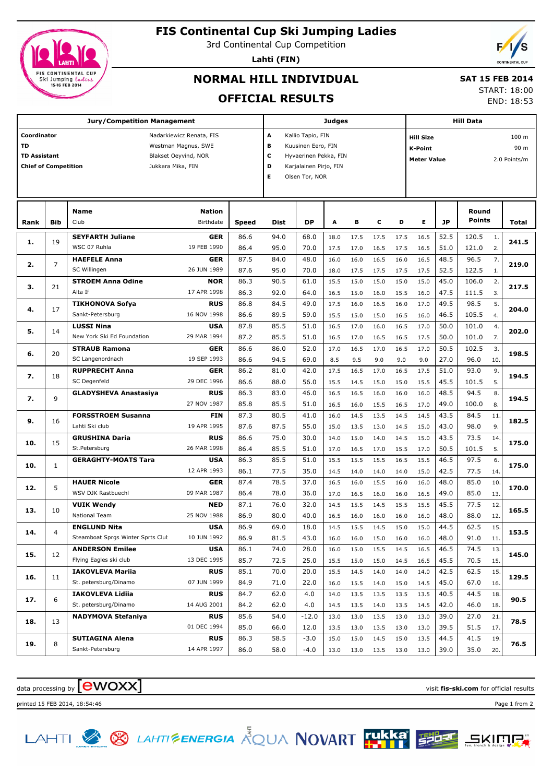

# **FIS Continental Cup Ski Jumping Ladies**

3rd Continental Cup Competition

**Lahti (FIN)**



# **NORMAL HILL INDIVIDUAL**

#### **SAT 15 FEB 2014** START: 18:00

END: 18:53

### **OFFICIAL RESULTS**

| <b>Jury/Competition Management</b>          |                                                       |                                   |             |       |                                           | Judges                     |      |      |      |      |                           | <b>Hill Data</b>                   |        |      |       |  |  |
|---------------------------------------------|-------------------------------------------------------|-----------------------------------|-------------|-------|-------------------------------------------|----------------------------|------|------|------|------|---------------------------|------------------------------------|--------|------|-------|--|--|
| Coordinator<br>Nadarkiewicz Renata, FIS     |                                                       |                                   |             |       | A<br>Kallio Tapio, FIN                    |                            |      |      |      |      | 100 m<br><b>Hill Size</b> |                                    |        |      |       |  |  |
| <b>TD</b><br>Westman Magnus, SWE            |                                                       |                                   |             |       | в<br>Kuusinen Eero, FIN<br><b>K-Point</b> |                            |      |      |      |      |                           |                                    |        | 90 m |       |  |  |
| <b>TD Assistant</b><br>Blakset Oeyvind, NOR |                                                       |                                   |             |       |                                           | c<br>Hyvaerinen Pekka, FIN |      |      |      |      |                           | <b>Meter Value</b><br>2.0 Points/m |        |      |       |  |  |
|                                             | D<br><b>Chief of Competition</b><br>Jukkara Mika, FIN |                                   |             |       |                                           | Karjalainen Pirjo, FIN     |      |      |      |      |                           |                                    |        |      |       |  |  |
|                                             |                                                       |                                   |             |       |                                           | Olsen Tor, NOR             |      |      |      |      |                           |                                    |        |      |       |  |  |
|                                             |                                                       |                                   |             |       |                                           |                            |      |      |      |      |                           |                                    |        |      |       |  |  |
|                                             |                                                       | <b>Name</b>                       | Nation      |       |                                           |                            |      |      |      |      |                           |                                    | Round  |      |       |  |  |
| Rank                                        | Bib                                                   | Club                              | Birthdate   | Speed | <b>Dist</b>                               | DP                         | A    | в    | c    | D    | Е                         | <b>JP</b>                          | Points |      | Total |  |  |
|                                             |                                                       | <b>SEYFARTH Juliane</b>           | <b>GER</b>  | 86.6  | 94.0                                      | 68.0                       | 18.0 | 17.5 | 17.5 | 17.5 | 16.5                      | 52.5                               | 120.5  | 1.   |       |  |  |
| 1.                                          | 19                                                    | WSC 07 Ruhla                      | 19 FEB 1990 | 86.4  | 95.0                                      | 70.0                       | 17.5 | 17.0 | 16.5 | 17.5 | 16.5                      | 51.0                               | 121.0  | 2.   | 241.5 |  |  |
|                                             |                                                       | <b>HAEFELE Anna</b>               | <b>GER</b>  | 87.5  | 84.0                                      | 48.0                       | 16.0 | 16.0 | 16.5 | 16.0 | 16.5                      | 48.5                               | 96.5   | 7.   |       |  |  |
| 2.                                          | 7                                                     | SC Willingen                      | 26 JUN 1989 | 87.6  | 95.0                                      | 70.0                       | 18.0 | 17.5 | 17.5 | 17.5 | 17.5                      | 52.5                               | 122.5  | 1.   | 219.0 |  |  |
|                                             |                                                       | <b>STROEM Anna Odine</b>          | <b>NOR</b>  | 86.3  | 90.5                                      | 61.0                       | 15.5 | 15.0 | 15.0 | 15.0 | 15.0                      | 45.0                               | 106.0  | 2.   |       |  |  |
| з.                                          | 21                                                    | Alta If                           | 17 APR 1998 | 86.3  | 92.0                                      | 64.0                       | 16.5 | 15.0 | 16.0 | 15.5 | 16.0                      | 47.5                               | 111.5  | 3.   | 217.5 |  |  |
|                                             |                                                       | <b>TIKHONOVA Sofya</b>            | <b>RUS</b>  | 86.8  | 84.5                                      | 49.0                       | 17.5 | 16.0 | 16.5 | 16.0 | 17.0                      | 49.5                               | 98.5   | 5.   |       |  |  |
| 4.                                          | 17                                                    | Sankt-Petersburg                  | 16 NOV 1998 | 86.6  | 89.5                                      | 59.0                       | 15.5 | 15.0 | 15.0 | 16.5 | 16.0                      | 46.5                               | 105.5  | 4.   | 204.0 |  |  |
|                                             |                                                       | <b>LUSSI Nina</b>                 | <b>USA</b>  | 87.8  | 85.5                                      | 51.0                       | 16.5 | 17.0 | 16.0 | 16.5 | 17.0                      | 50.0                               | 101.0  | 4.   |       |  |  |
| 5.                                          | 14                                                    | New York Ski Ed Foundation        | 29 MAR 1994 | 87.2  | 85.5                                      | 51.0                       | 16.5 | 17.0 | 16.5 | 16.5 | 17.5                      | 50.0                               | 101.0  | 7.   | 202.0 |  |  |
|                                             |                                                       | <b>STRAUB Ramona</b>              | <b>GER</b>  | 86.6  | 86.0                                      | 52.0                       | 17.0 | 16.5 | 17.0 | 16.5 | 17.0                      | 50.5                               | 102.5  | 3.   |       |  |  |
| 6.                                          | 20                                                    | SC Langenordnach                  | 19 SEP 1993 | 86.6  | 94.5                                      | 69.0                       | 8.5  | 9.5  | 9.0  | 9.0  | 9.0                       | 27.0                               | 96.0   | 10.  | 198.5 |  |  |
|                                             |                                                       | <b>RUPPRECHT Anna</b>             | GER         | 86.2  | 81.0                                      | 42.0                       | 17.5 | 16.5 | 17.0 | 16.5 | 17.5                      | 51.0                               | 93.0   | 9.   |       |  |  |
| 7.                                          | 18                                                    | SC Degenfeld                      | 29 DEC 1996 | 86.6  | 88.0                                      | 56.0                       | 15.5 | 14.5 | 15.0 | 15.0 | 15.5                      | 45.5                               | 101.5  | 5.   | 194.5 |  |  |
|                                             | $\mathsf q$                                           | <b>GLADYSHEVA Anastasiya</b>      | <b>RUS</b>  | 86.3  | 83.0                                      | 46.0                       | 16.5 | 16.5 | 16.0 | 16.0 | 16.0                      | 48.5                               | 94.5   | 8.   |       |  |  |
| 7.                                          |                                                       |                                   | 27 NOV 1987 | 85.8  | 85.5                                      | 51.0                       | 16.5 | 16.0 | 15.5 | 16.5 | 17.0                      | 49.0                               | 100.0  | 8.   | 194.5 |  |  |
|                                             |                                                       | <b>FORSSTROEM Susanna</b>         | FIN         | 87.3  | 80.5                                      | 41.0                       | 16.0 | 14.5 | 13.5 | 14.5 | 14.5                      | 43.5                               | 84.5   | 11.  |       |  |  |
| 9.                                          | 16                                                    | Lahti Ski club                    | 19 APR 1995 | 87.6  | 87.5                                      | 55.0                       | 15.0 | 13.5 | 13.0 | 14.5 | 15.0                      | 43.0                               | 98.0   | 9.   | 182.5 |  |  |
|                                             |                                                       | <b>GRUSHINA Daria</b>             | <b>RUS</b>  | 86.6  | 75.0                                      | 30.0                       | 14.0 | 15.0 | 14.0 | 14.5 | 15.0                      | 43.5                               | 73.5   | 14.  |       |  |  |
| 10.                                         | 15                                                    | St.Petersburg                     | 26 MAR 1998 | 86.4  | 85.5                                      | 51.0                       | 17.0 | 16.5 | 17.0 | 15.5 | 17.0                      | 50.5                               | 101.5  | 5.   | 175.0 |  |  |
| 10.                                         | $\mathbf{1}$                                          | <b>GERAGHTY-MOATS Tara</b>        | <b>USA</b>  | 86.3  | 85.5                                      | 51.0                       | 15.5 | 15.5 | 15.5 | 16.5 | 15.5                      | 46.5                               | 97.5   | 6.   | 175.0 |  |  |
|                                             |                                                       |                                   | 12 APR 1993 | 86.1  | 77.5                                      | 35.0                       | 14.5 | 14.0 | 14.0 | 14.0 | 15.0                      | 42.5                               | 77.5   | 14.  |       |  |  |
| 12.                                         | 5                                                     | <b>HAUER Nicole</b>               | GER         | 87.4  | 78.5                                      | 37.0                       | 16.5 | 16.0 | 15.5 | 16.0 | 16.0                      | 48.0                               | 85.0   | 10.  | 170.0 |  |  |
|                                             |                                                       | WSV DJK Rastbuechl                | 09 MAR 1987 | 86.4  | 78.0                                      | 36.0                       | 17.0 | 16.5 | 16.0 | 16.0 | 16.5                      | 49.0                               | 85.0   | 13.  |       |  |  |
| 13.                                         | 10                                                    | <b>VUIK Wendy</b>                 | <b>NED</b>  | 87.1  | 76.0                                      | 32.0                       | 14.5 | 15.5 | 14.5 | 15.5 | 15.5                      | 45.5                               | 77.5   | 12.  | 165.5 |  |  |
|                                             |                                                       | <b>National Team</b>              | 25 NOV 1988 | 86.9  | 80.0                                      | 40.0                       | 16.5 | 16.0 | 16.0 | 16.0 | 16.0                      | 48.0                               | 88.0   | 12.  |       |  |  |
| 14.                                         | 4                                                     | <b>ENGLUND Nita</b>               | <b>USA</b>  | 86.9  | 69.0                                      | 18.0                       | 14.5 | 15.5 | 14.5 | 15.0 | 15.0                      | 44.5                               | 62.5   | 15.  | 153.5 |  |  |
|                                             |                                                       | Steamboat Sprgs Winter Sprts Clut | 10 JUN 1992 | 86.9  | 81.5                                      | 43.0                       | 16.0 | 16.0 | 15.0 | 16.0 | 16.0                      | 48.0                               | 91.0   | 11.  |       |  |  |
| 15.                                         | 12                                                    | <b>ANDERSON Emilee</b>            | <b>USA</b>  | 86.1  | 74.0                                      | 28.0                       | 16.0 | 15.0 | 15.5 | 14.5 | 16.5                      | 46.5                               | 74.5   | 13.  | 145.0 |  |  |
|                                             |                                                       | Flying Eagles ski club            | 13 DEC 1995 | 85.7  | 72.5                                      | 25.0                       | 15.5 | 15.0 | 15.0 | 14.5 | 16.5                      | 45.5                               | 70.5   | 15.  |       |  |  |
| 16.                                         | 11                                                    | <b>IAKOVLEVA Mariia</b>           | <b>RUS</b>  | 85.1  | 70.0                                      | 20.0                       | 15.5 | 14.5 | 14.0 | 14.0 | 14.0                      | 42.5                               | 62.5   | 15.  | 129.5 |  |  |
|                                             |                                                       | St. petersburg/Dinamo             | 07 JUN 1999 | 84.9  | 71.0                                      | 22.0                       | 16.0 | 15.5 | 14.0 | 15.0 | 14.5                      | 45.0                               | 67.0   | 16.  |       |  |  |
| 17.                                         | 6                                                     | <b>IAKOVLEVA Lidija</b>           | <b>RUS</b>  | 84.7  | 62.0                                      | 4.0                        | 14.0 | 13.5 | 13.5 | 13.5 | 13.5                      | 40.5                               | 44.5   | 18.  | 90.5  |  |  |
|                                             |                                                       | St. petersburg/Dinamo             | 14 AUG 2001 | 84.2  | 62.0                                      | 4.0                        | 14.5 | 13.5 | 14.0 | 13.5 | 14.5                      | 42.0                               | 46.0   | 18.  |       |  |  |
| 18.                                         | 13                                                    | <b>NADYMOVA Stefaniya</b>         | <b>RUS</b>  | 85.6  | 54.0                                      | $-12.0$                    | 13.0 | 13.0 | 13.5 | 13.0 | 13.0                      | 39.0                               | 27.0   | 21.  | 78.5  |  |  |
|                                             |                                                       |                                   | 01 DEC 1994 | 85.0  | 66.0                                      | 12.0                       | 13.5 | 13.0 | 13.5 | 13.0 | 13.0                      | 39.5                               | 51.5   | 17.  |       |  |  |
| 19.                                         | 8                                                     | <b>SUTIAGINA Alena</b>            | <b>RUS</b>  | 86.3  | 58.5                                      | $-3.0$                     | 15.0 | 15.0 | 14.5 | 15.0 | 13.5                      | 44.5                               | 41.5   | 19.  | 76.5  |  |  |
|                                             |                                                       | Sankt-Petersburg                  | 14 APR 1997 | 86.0  | 58.0                                      | $-4.0$                     | 13.0 | 13.0 | 13.5 | 13.0 | 13.0                      | 39.0                               | 35.0   | 20.  |       |  |  |

data processing by **CWOXX** and  $\overline{C}$  and  $\overline{C}$  and  $\overline{C}$  and  $\overline{C}$  and  $\overline{C}$  and  $\overline{C}$  and  $\overline{C}$  and  $\overline{C}$  and  $\overline{C}$  and  $\overline{C}$  and  $\overline{C}$  and  $\overline{C}$  and  $\overline{C}$  and  $\overline{C}$  and  $\overline{C}$ 





**SKIMP**